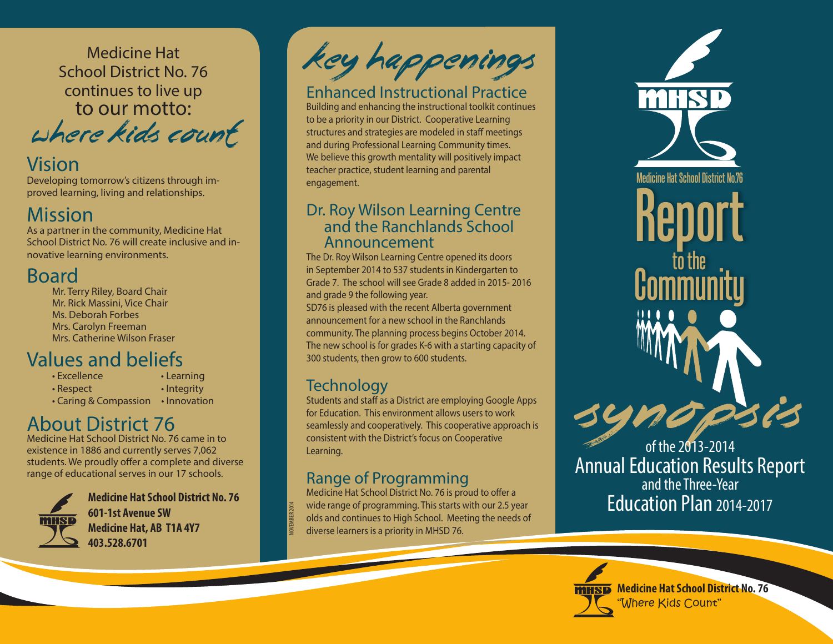Medicine Hat School District No. 76 continues to live up to our motto:

where kids count

## Vision

Developing tomorrow's citizens through improved learning, living and relationships.

# Mission

As a partner in the community, Medicine Hat School District No. 76 will create inclusive and innovative learning environments.

# Board

Mr. Terry Riley, Board Chair Mr. Rick Massini, Vice Chair Ms. Deborah Forbes Mrs. Carolyn Freeman Mrs. Catherine Wilson Fraser

#### Values and beliefs earning

| • Excellence          | • Learning   |
|-----------------------|--------------|
| $\cdot$ Respect       | · Integrity  |
| • Caring & Compassion | • Innovation |

# About District 76

Medicine Hat School District No. 76 came in to existence in 1886 and currently serves 7,062 students. We proudly offer a complete and diverse range of educational serves in our 17 schools.



**Medicine Hat School District No. 76 601-1st Avenue SW Medicine Hat, AB T1A 4Y7 403.528.6701**

Key Happenings

### Enhanced Instructional Practice

Building and enhancing the instructional toolkit continues to be a priority in our District. Cooperative Learning structures and strategies are modeled in staff meetings and during Professional Learning Community times. We believe this growth mentality will positively impact teacher practice, student learning and parental engagement.

### Dr. Roy Wilson Learning Centre and the Ranchlands School Announcement

The Dr. Roy Wilson Learning Centre opened its doors in September 2014 to 537 students in Kindergarten to Grade 7. The school will see Grade 8 added in 2015- 2016 and grade 9 the following year.

SD76 is pleased with the recent Alberta government announcement for a new school in the Ranchlands community. The planning process begins October 2014. The new school is for grades K-6 with a starting capacity of 300 students, then grow to 600 students.

## **Technology**

NOVEMBER 2014

Students and staff as a District are employing Google Apps for Education. This environment allows users to work seamlessly and cooperatively. This cooperative approach is consistent with the District's focus on Cooperative Learning.

### Range of Programming

Medicine Hat School District No. 76 is proud to offer a wide range of programming. This starts with our 2.5 year olds and continues to High School. Meeting the needs of diverse learners is a priority in MHSD 76.